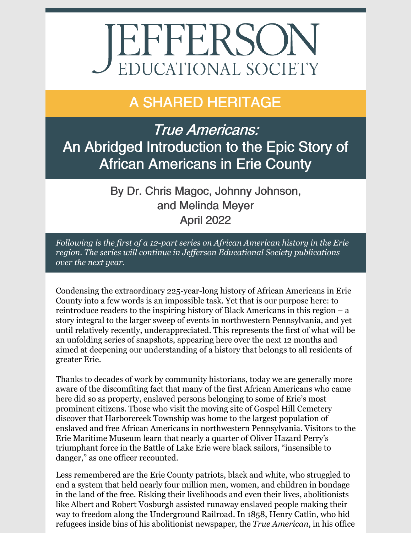# **JEFFERSON** EDUCATIONAL SOCIETY

## A SHARED HERITAGE

True Americans: An Abridged Introduction to the Epic Story of African Americans in Erie County

> By Dr. Chris Magoc, Johnny Johnson, and Melinda Meyer April 2022

*Following is the first of a 12-part series on African American history in the Erie region. The series will continue in Jef erson Educational Society publications over the next year.*

Condensing the extraordinary 225-year-long history of African Americans in Erie County into a few words is an impossible task. Yet that is our purpose here: to reintroduce readers to the inspiring history of Black Americans in this region – a story integral to the larger sweep of events in northwestern Pennsylvania, and yet until relatively recently, underappreciated. This represents the first of what will be an unfolding series of snapshots, appearing here over the next 12 months and aimed at deepening our understanding of a history that belongs to all residents of greater Erie.

Thanks to decades of work by community historians, today we are generally more aware of the discomfiting fact that many of the first African Americans who came here did so as property, enslaved persons belonging to some of Erie's most prominent citizens. Those who visit the moving site of Gospel Hill Cemetery discover that Harborcreek Township was home to the largest population of enslaved and free African Americans in northwestern Pennsylvania. Visitors to the Erie Maritime Museum learn that nearly a quarter of Oliver Hazard Perry's triumphant force in the Battle of Lake Erie were black sailors, "insensible to danger," as one officer recounted.

Less remembered are the Erie County patriots, black and white, who struggled to end a system that held nearly four million men, women, and children in bondage in the land of the free. Risking their livelihoods and even their lives, abolitionists like Albert and Robert Vosburgh assisted runaway enslaved people making their way to freedom along the Underground Railroad. In 1858, Henry Catlin, who hid refugees inside bins of his abolitionist newspaper, the *True American*, in his office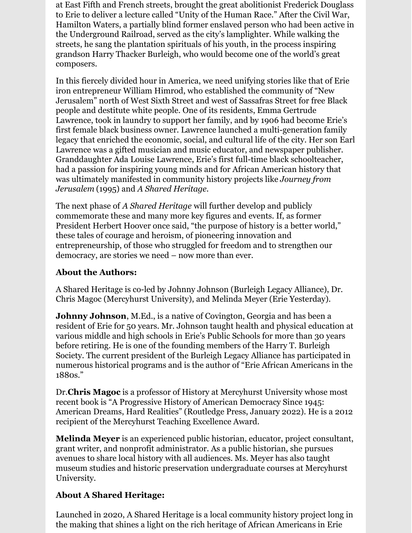at East Fifth and French streets, brought the great abolitionist Frederick Douglass to Erie to deliver a lecture called "Unity of the Human Race." After the Civil War, Hamilton Waters, a partially blind former enslaved person who had been active in the Underground Railroad, served as the city's lamplighter. While walking the streets, he sang the plantation spirituals of his youth, in the process inspiring grandson Harry Thacker Burleigh, who would become one of the world's great composers.

In this fiercely divided hour in America, we need unifying stories like that of Erie iron entrepreneur William Himrod, who established the community of "New Jerusalem" north of West Sixth Street and west of Sassafras Street for free Black people and destitute white people. One of its residents, Emma Gertrude Lawrence, took in laundry to support her family, and by 1906 had become Erie's first female black business owner. Lawrence launched a multi-generation family legacy that enriched the economic, social, and cultural life of the city. Her son Earl Lawrence was a gifted musician and music educator, and newspaper publisher. Granddaughter Ada Louise Lawrence, Erie's first full-time black schoolteacher, had a passion for inspiring young minds and for African American history that was ultimately manifested in community history projects like *Journey from Jerusalem* (1995) and *A Shared Heritage.*

The next phase of *A Shared Heritage* will further develop and publicly commemorate these and many more key figures and events. If, as former President Herbert Hoover once said, "the purpose of history is a better world," these tales of courage and heroism, of pioneering innovation and entrepreneurship, of those who struggled for freedom and to strengthen our democracy, are stories we need – now more than ever.

#### **About the Authors:**

A Shared Heritage is co-led by Johnny Johnson (Burleigh Legacy Alliance), Dr. Chris Magoc (Mercyhurst University), and Melinda Meyer (Erie Yesterday).

**Johnny Johnson**, M.Ed., is a native of Covington, Georgia and has been a resident of Erie for 50 years. Mr. Johnson taught health and physical education at various middle and high schools in Erie's Public Schools for more than 30 years before retiring. He is one of the founding members of the Harry T. Burleigh Society. The current president of the Burleigh Legacy Alliance has participated in numerous historical programs and is the author of "Erie African Americans in the 1880s."

Dr.**Chris Magoc** is a professor of History at Mercyhurst University whose most recent book is "A Progressive History of American Democracy Since 1945: American Dreams, Hard Realities" (Routledge Press, January 2022). He is a 2012 recipient of the Mercyhurst Teaching Excellence Award.

**Melinda Meyer** is an experienced public historian, educator, project consultant, grant writer, and nonprofit administrator. As a public historian, she pursues avenues to share local history with all audiences. Ms. Meyer has also taught museum studies and historic preservation undergraduate courses at Mercyhurst University.

#### **About A Shared Heritage:**

Launched in 2020, A Shared Heritage is a local community history project long in the making that shines a light on the rich heritage of African Americans in Erie